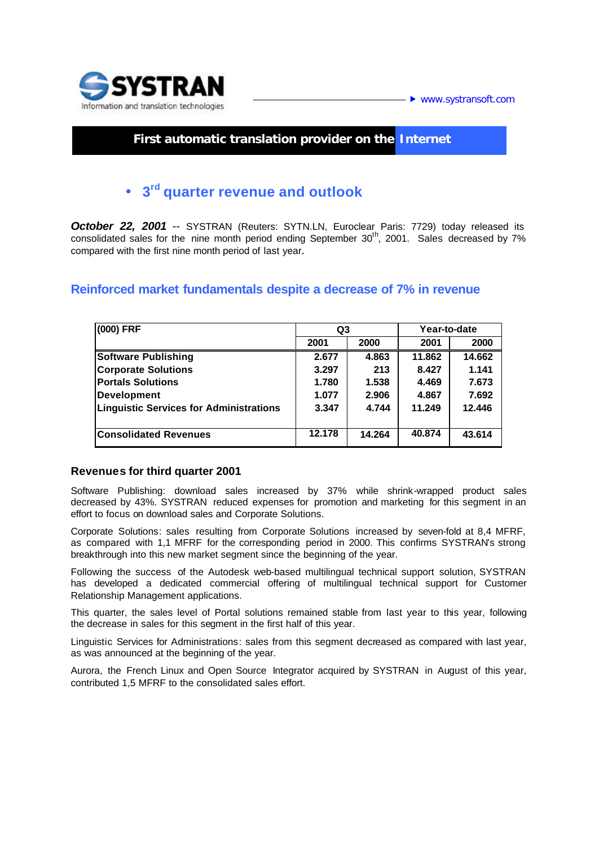

## **First automatic translation provider on the Internet**

# • **3 rd quarter revenue and outlook**

*October 22, 2001* -- SYSTRAN (Reuters: SYTN.LN, Euroclear Paris: 7729) today released its consolidated sales for the nine month period ending September 30<sup>th</sup>, 2001. Sales decreased by 7% compared with the first nine month period of last year.

### **Reinforced market fundamentals despite a decrease of 7% in revenue**

| (000) FRF                               | Q3     |        | Year-to-date |        |
|-----------------------------------------|--------|--------|--------------|--------|
|                                         | 2001   | 2000   | 2001         | 2000   |
| <b>Software Publishing</b>              | 2.677  | 4.863  | 11.862       | 14.662 |
| <b>Corporate Solutions</b>              | 3.297  | 213    | 8.427        | 1.141  |
| <b>Portals Solutions</b>                | 1.780  | 1.538  | 4.469        | 7.673  |
| <b>Development</b>                      | 1.077  | 2.906  | 4.867        | 7.692  |
| Linguistic Services for Administrations | 3.347  | 4.744  | 11.249       | 12.446 |
| <b>Consolidated Revenues</b>            | 12.178 | 14.264 | 40.874       | 43.614 |

#### **Revenues for third quarter 2001**

Software Publishing: download sales increased by 37% while shrink-wrapped product sales decreased by 43%. SYSTRAN reduced expenses for promotion and marketing for this segment in an effort to focus on download sales and Corporate Solutions.

Corporate Solutions: sales resulting from Corporate Solutions increased by seven-fold at 8,4 MFRF, as compared with 1,1 MFRF for the corresponding period in 2000. This confirms SYSTRAN's strong breakthrough into this new market segment since the beginning of the year.

Following the success of the Autodesk web-based multilingual technical support solution, SYSTRAN has developed a dedicated commercial offering of multilingual technical support for Customer Relationship Management applications.

This quarter, the sales level of Portal solutions remained stable from last year to this year, following the decrease in sales for this segment in the first half of this year.

Linguistic Services for Administrations: sales from this segment decreased as compared with last year, as was announced at the beginning of the year.

Aurora, the French Linux and Open Source Integrator acquired by SYSTRAN in August of this year, contributed 1,5 MFRF to the consolidated sales effort.